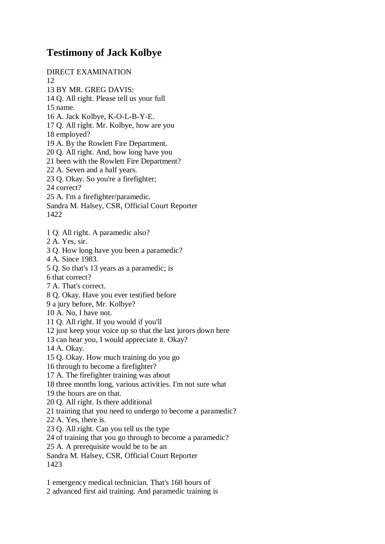## **Testimony of Jack Kolbye**

DIRECT EXAMINATION 12 13 BY MR. GREG DAVIS: 14 Q. All right. Please tell us your full 15 name. 16 A. Jack Kolbye, K-O-L-B-Y-E. 17 Q. All right. Mr. Kolbye, how are you 18 employed? 19 A. By the Rowlett Fire Department. 20 Q. All right. And, how long have you 21 been with the Rowlett Fire Department? 22 A. Seven and a half years. 23 Q. Okay. So you're a firefighter; 24 correct? 25 A. I'm a firefighter/paramedic. Sandra M. Halsey, CSR, Official Court Reporter 1422 1 Q. All right. A paramedic also? 2 A. Yes, sir. 3 Q. How long have you been a paramedic? 4 A. Since 1983. 5 Q. So that's 13 years as a paramedic; is 6 that correct? 7 A. That's correct. 8 Q. Okay. Have you ever testified before 9 a jury before, Mr. Kolbye? 10 A. No, I have not. 11 Q. All right. If you would if you'll 12 just keep your voice up so that the last jurors down here 13 can hear you, I would appreciate it. Okay? 14 A. Okay. 15 Q. Okay. How much training do you go 16 through to become a firefighter? 17 A. The firefighter training was about 18 three months long, various activities. I'm not sure what 19 the hours are on that. 20 Q. All right. Is there additional 21 training that you need to undergo to become a paramedic? 22 A. Yes, there is. 23 Q. All right. Can you tell us the type 24 of training that you go through to become a paramedic? 25 A. A prerequisite would be to be an Sandra M. Halsey, CSR, Official Court Reporter 1423

1 emergency medical technician. That's 160 hours of 2 advanced first aid training. And paramedic training is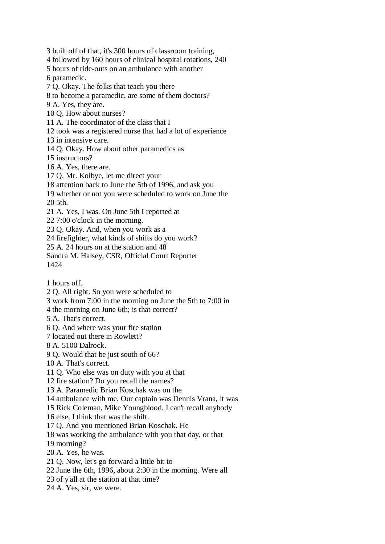3 built off of that, it's 300 hours of classroom training,

4 followed by 160 hours of clinical hospital rotations, 240

5 hours of ride-outs on an ambulance with another 6 paramedic.

7 Q. Okay. The folks that teach you there

8 to become a paramedic, are some of them doctors?

9 A. Yes, they are.

10 Q. How about nurses?

11 A. The coordinator of the class that I

12 took was a registered nurse that had a lot of experience

13 in intensive care.

14 Q. Okay. How about other paramedics as

15 instructors?

16 A. Yes, there are.

17 Q. Mr. Kolbye, let me direct your

18 attention back to June the 5th of 1996, and ask you

19 whether or not you were scheduled to work on June the 20 5th.

21 A. Yes, I was. On June 5th I reported at

22 7:00 o'clock in the morning.

23 Q. Okay. And, when you work as a

24 firefighter, what kinds of shifts do you work?

25 A. 24 hours on at the station and 48

Sandra M. Halsey, CSR, Official Court Reporter 1424

1 hours off.

2 Q. All right. So you were scheduled to

3 work from 7:00 in the morning on June the 5th to 7:00 in

4 the morning on June 6th; is that correct?

5 A. That's correct.

6 Q. And where was your fire station

7 located out there in Rowlett?

8 A. 5100 Dalrock.

9 Q. Would that be just south of 66?

10 A. That's correct.

11 Q. Who else was on duty with you at that

12 fire station? Do you recall the names?

13 A. Paramedic Brian Koschak was on the

14 ambulance with me. Our captain was Dennis Vrana, it was

15 Rick Coleman, Mike Youngblood. I can't recall anybody

16 else, I think that was the shift.

17 Q. And you mentioned Brian Koschak. He

18 was working the ambulance with you that day, or that

19 morning?

20 A. Yes, he was.

21 Q. Now, let's go forward a little bit to

22 June the 6th, 1996, about 2:30 in the morning. Were all

23 of y'all at the station at that time?

24 A. Yes, sir, we were.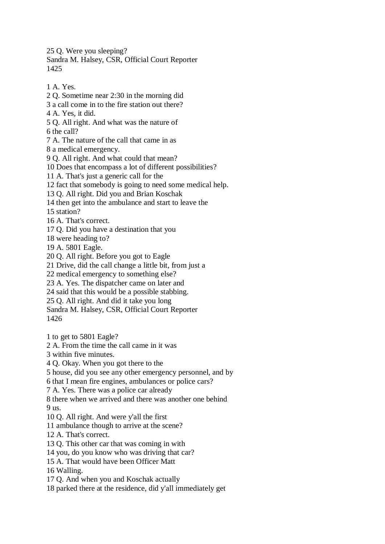25 Q. Were you sleeping? Sandra M. Halsey, CSR, Official Court Reporter 1425

1 A. Yes.

2 Q. Sometime near 2:30 in the morning did 3 a call come in to the fire station out there? 4 A. Yes, it did. 5 Q. All right. And what was the nature of 6 the call? 7 A. The nature of the call that came in as 8 a medical emergency. 9 Q. All right. And what could that mean? 10 Does that encompass a lot of different possibilities? 11 A. That's just a generic call for the 12 fact that somebody is going to need some medical help. 13 Q. All right. Did you and Brian Koschak 14 then get into the ambulance and start to leave the 15 station? 16 A. That's correct. 17 Q. Did you have a destination that you 18 were heading to? 19 A. 5801 Eagle. 20 Q. All right. Before you got to Eagle 21 Drive, did the call change a little bit, from just a 22 medical emergency to something else? 23 A. Yes. The dispatcher came on later and 24 said that this would be a possible stabbing. 25 Q. All right. And did it take you long Sandra M. Halsey, CSR, Official Court Reporter 1426 1 to get to 5801 Eagle? 2 A. From the time the call came in it was 3 within five minutes. 4 Q. Okay. When you got there to the 5 house, did you see any other emergency personnel, and by 6 that I mean fire engines, ambulances or police cars? 7 A. Yes. There was a police car already 8 there when we arrived and there was another one behind 9 us. 10 Q. All right. And were y'all the first 11 ambulance though to arrive at the scene? 12 A. That's correct. 13 Q. This other car that was coming in with 14 you, do you know who was driving that car? 15 A. That would have been Officer Matt 16 Walling. 17 Q. And when you and Koschak actually 18 parked there at the residence, did y'all immediately get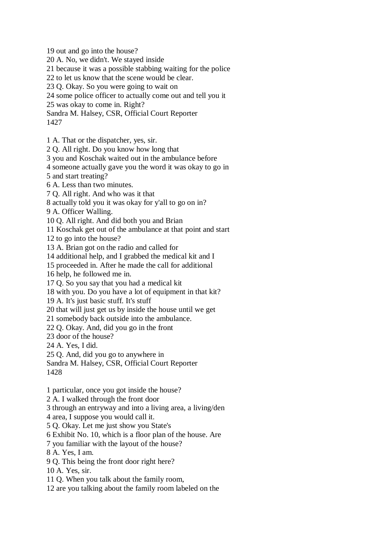19 out and go into the house?

20 A. No, we didn't. We stayed inside

21 because it was a possible stabbing waiting for the police

22 to let us know that the scene would be clear.

23 Q. Okay. So you were going to wait on

24 some police officer to actually come out and tell you it

25 was okay to come in. Right?

Sandra M. Halsey, CSR, Official Court Reporter

1427

1 A. That or the dispatcher, yes, sir.

2 Q. All right. Do you know how long that

3 you and Koschak waited out in the ambulance before

4 someone actually gave you the word it was okay to go in

5 and start treating?

6 A. Less than two minutes.

7 Q. All right. And who was it that

8 actually told you it was okay for y'all to go on in?

9 A. Officer Walling.

10 Q. All right. And did both you and Brian

11 Koschak get out of the ambulance at that point and start

12 to go into the house?

13 A. Brian got on the radio and called for

14 additional help, and I grabbed the medical kit and I

15 proceeded in. After he made the call for additional

16 help, he followed me in.

17 Q. So you say that you had a medical kit

18 with you. Do you have a lot of equipment in that kit?

19 A. It's just basic stuff. It's stuff

20 that will just get us by inside the house until we get

21 somebody back outside into the ambulance.

22 Q. Okay. And, did you go in the front

23 door of the house?

24 A. Yes, I did.

25 Q. And, did you go to anywhere in

Sandra M. Halsey, CSR, Official Court Reporter

1428

1 particular, once you got inside the house?

2 A. I walked through the front door

3 through an entryway and into a living area, a living/den

4 area, I suppose you would call it.

5 Q. Okay. Let me just show you State's

6 Exhibit No. 10, which is a floor plan of the house. Are

7 you familiar with the layout of the house?

8 A. Yes, I am.

9 Q. This being the front door right here?

10 A. Yes, sir.

11 Q. When you talk about the family room,

12 are you talking about the family room labeled on the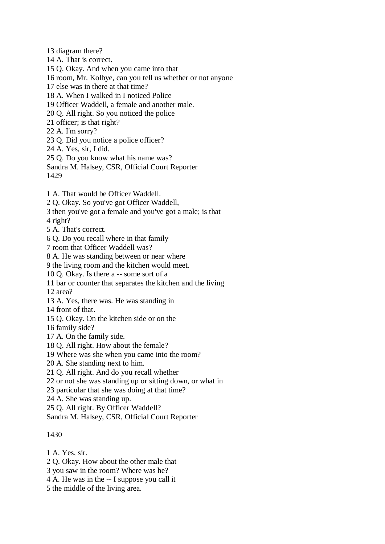13 diagram there?

14 A. That is correct.

15 Q. Okay. And when you came into that

16 room, Mr. Kolbye, can you tell us whether or not anyone

17 else was in there at that time?

18 A. When I walked in I noticed Police

19 Officer Waddell, a female and another male.

20 Q. All right. So you noticed the police

21 officer; is that right?

22 A. I'm sorry?

23 Q. Did you notice a police officer?

24 A. Yes, sir, I did.

25 Q. Do you know what his name was?

Sandra M. Halsey, CSR, Official Court Reporter

1429

1 A. That would be Officer Waddell.

2 Q. Okay. So you've got Officer Waddell,

3 then you've got a female and you've got a male; is that

4 right?

5 A. That's correct.

6 Q. Do you recall where in that family

7 room that Officer Waddell was?

8 A. He was standing between or near where

9 the living room and the kitchen would meet.

10 Q. Okay. Is there a -- some sort of a

11 bar or counter that separates the kitchen and the living

12 area?

13 A. Yes, there was. He was standing in

14 front of that.

15 Q. Okay. On the kitchen side or on the

16 family side?

17 A. On the family side.

18 Q. All right. How about the female?

19 Where was she when you came into the room?

20 A. She standing next to him.

21 Q. All right. And do you recall whether

22 or not she was standing up or sitting down, or what in

23 particular that she was doing at that time?

24 A. She was standing up.

25 Q. All right. By Officer Waddell?

Sandra M. Halsey, CSR, Official Court Reporter

## 1430

1 A. Yes, sir.

2 Q. Okay. How about the other male that

3 you saw in the room? Where was he?

4 A. He was in the -- I suppose you call it

5 the middle of the living area.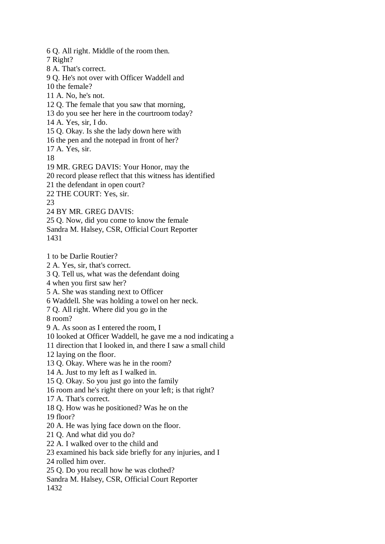6 Q. All right. Middle of the room then. 7 Right? 8 A. That's correct. 9 Q. He's not over with Officer Waddell and 10 the female? 11 A. No, he's not. 12 Q. The female that you saw that morning, 13 do you see her here in the courtroom today? 14 A. Yes, sir, I do. 15 Q. Okay. Is she the lady down here with 16 the pen and the notepad in front of her? 17 A. Yes, sir. 18 19 MR. GREG DAVIS: Your Honor, may the 20 record please reflect that this witness has identified 21 the defendant in open court? 22 THE COURT: Yes, sir. 23

24 BY MR. GREG DAVIS:

25 Q. Now, did you come to know the female

Sandra M. Halsey, CSR, Official Court Reporter 1431

1 to be Darlie Routier?

2 A. Yes, sir, that's correct.

3 Q. Tell us, what was the defendant doing

4 when you first saw her?

5 A. She was standing next to Officer

6 Waddell. She was holding a towel on her neck.

7 Q. All right. Where did you go in the

8 room?

9 A. As soon as I entered the room, I

10 looked at Officer Waddell, he gave me a nod indicating a

11 direction that I looked in, and there I saw a small child

12 laying on the floor.

13 Q. Okay. Where was he in the room?

14 A. Just to my left as I walked in.

15 Q. Okay. So you just go into the family

16 room and he's right there on your left; is that right?

17 A. That's correct.

18 Q. How was he positioned? Was he on the

19 floor?

20 A. He was lying face down on the floor.

21 Q. And what did you do?

22 A. I walked over to the child and

23 examined his back side briefly for any injuries, and I

24 rolled him over.

25 Q. Do you recall how he was clothed?

Sandra M. Halsey, CSR, Official Court Reporter 1432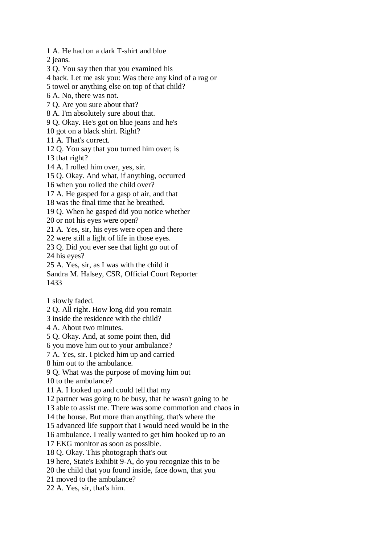1 A. He had on a dark T-shirt and blue

2 jeans.

3 Q. You say then that you examined his

4 back. Let me ask you: Was there any kind of a rag or

5 towel or anything else on top of that child?

6 A. No, there was not.

7 Q. Are you sure about that?

8 A. I'm absolutely sure about that.

9 Q. Okay. He's got on blue jeans and he's

10 got on a black shirt. Right?

11 A. That's correct.

12 Q. You say that you turned him over; is

13 that right?

14 A. I rolled him over, yes, sir.

15 Q. Okay. And what, if anything, occurred

16 when you rolled the child over?

17 A. He gasped for a gasp of air, and that

18 was the final time that he breathed.

19 Q. When he gasped did you notice whether

20 or not his eyes were open?

21 A. Yes, sir, his eyes were open and there

22 were still a light of life in those eyes.

23 Q. Did you ever see that light go out of 24 his eyes?

25 A. Yes, sir, as I was with the child it

Sandra M. Halsey, CSR, Official Court Reporter 1433

1 slowly faded.

2 Q. All right. How long did you remain

3 inside the residence with the child?

4 A. About two minutes.

5 Q. Okay. And, at some point then, did

6 you move him out to your ambulance?

7 A. Yes, sir. I picked him up and carried

8 him out to the ambulance.

9 Q. What was the purpose of moving him out

10 to the ambulance?

11 A. I looked up and could tell that my

12 partner was going to be busy, that he wasn't going to be

13 able to assist me. There was some commotion and chaos in

14 the house. But more than anything, that's where the

15 advanced life support that I would need would be in the

16 ambulance. I really wanted to get him hooked up to an

17 EKG monitor as soon as possible.

18 Q. Okay. This photograph that's out

19 here, State's Exhibit 9-A, do you recognize this to be

20 the child that you found inside, face down, that you

21 moved to the ambulance?

22 A. Yes, sir, that's him.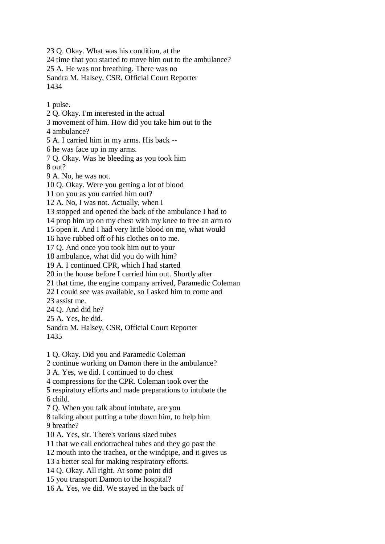23 Q. Okay. What was his condition, at the 24 time that you started to move him out to the ambulance? 25 A. He was not breathing. There was no Sandra M. Halsey, CSR, Official Court Reporter 1434

1 pulse.

2 Q. Okay. I'm interested in the actual 3 movement of him. How did you take him out to the 4 ambulance? 5 A. I carried him in my arms. His back -- 6 he was face up in my arms. 7 Q. Okay. Was he bleeding as you took him 8 out? 9 A. No, he was not. 10 Q. Okay. Were you getting a lot of blood 11 on you as you carried him out? 12 A. No, I was not. Actually, when I 13 stopped and opened the back of the ambulance I had to 14 prop him up on my chest with my knee to free an arm to 15 open it. And I had very little blood on me, what would 16 have rubbed off of his clothes on to me. 17 Q. And once you took him out to your 18 ambulance, what did you do with him? 19 A. I continued CPR, which I had started 20 in the house before I carried him out. Shortly after 21 that time, the engine company arrived, Paramedic Coleman 22 I could see was available, so I asked him to come and 23 assist me. 24 Q. And did he? 25 A. Yes, he did. Sandra M. Halsey, CSR, Official Court Reporter 1435 1 Q. Okay. Did you and Paramedic Coleman 2 continue working on Damon there in the ambulance? 3 A. Yes, we did. I continued to do chest 4 compressions for the CPR. Coleman took over the 5 respiratory efforts and made preparations to intubate the 6 child. 7 Q. When you talk about intubate, are you 8 talking about putting a tube down him, to help him 9 breathe? 10 A. Yes, sir. There's various sized tubes 11 that we call endotracheal tubes and they go past the 12 mouth into the trachea, or the windpipe, and it gives us 13 a better seal for making respiratory efforts. 14 Q. Okay. All right. At some point did 15 you transport Damon to the hospital? 16 A. Yes, we did. We stayed in the back of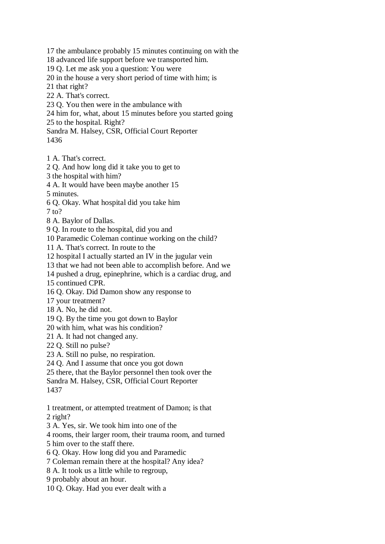17 the ambulance probably 15 minutes continuing on with the

18 advanced life support before we transported him.

19 Q. Let me ask you a question: You were

20 in the house a very short period of time with him; is

21 that right?

- 22 A. That's correct.
- 23 Q. You then were in the ambulance with
- 24 him for, what, about 15 minutes before you started going
- 25 to the hospital. Right?

Sandra M. Halsey, CSR, Official Court Reporter

- 1436
- 1 A. That's correct.
- 2 Q. And how long did it take you to get to
- 3 the hospital with him?
- 4 A. It would have been maybe another 15
- 5 minutes.
- 6 Q. Okay. What hospital did you take him
- 7 to?
- 8 A. Baylor of Dallas.
- 9 Q. In route to the hospital, did you and
- 10 Paramedic Coleman continue working on the child?
- 11 A. That's correct. In route to the
- 12 hospital I actually started an IV in the jugular vein
- 13 that we had not been able to accomplish before. And we
- 14 pushed a drug, epinephrine, which is a cardiac drug, and
- 15 continued CPR.
- 16 Q. Okay. Did Damon show any response to
- 17 your treatment?
- 18 A. No, he did not.
- 19 Q. By the time you got down to Baylor
- 20 with him, what was his condition?
- 21 A. It had not changed any.
- 22 Q. Still no pulse?
- 23 A. Still no pulse, no respiration.
- 24 Q. And I assume that once you got down
- 25 there, that the Baylor personnel then took over the
- Sandra M. Halsey, CSR, Official Court Reporter
- 1437
- 1 treatment, or attempted treatment of Damon; is that 2 right?
- 3 A. Yes, sir. We took him into one of the
- 4 rooms, their larger room, their trauma room, and turned
- 5 him over to the staff there.
- 6 Q. Okay. How long did you and Paramedic
- 7 Coleman remain there at the hospital? Any idea?
- 8 A. It took us a little while to regroup,
- 9 probably about an hour.
- 10 Q. Okay. Had you ever dealt with a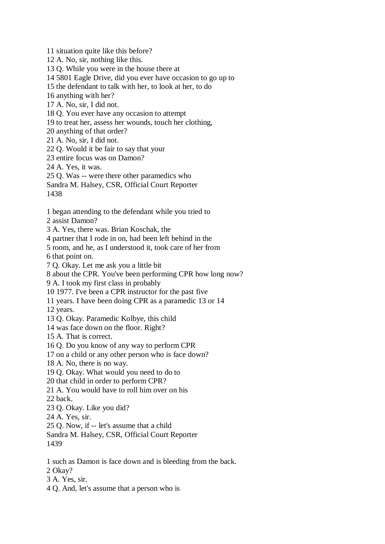11 situation quite like this before? 12 A. No, sir, nothing like this. 13 Q. While you were in the house there at 14 5801 Eagle Drive, did you ever have occasion to go up to 15 the defendant to talk with her, to look at her, to do 16 anything with her? 17 A. No, sir, I did not. 18 Q. You ever have any occasion to attempt 19 to treat her, assess her wounds, touch her clothing, 20 anything of that order? 21 A. No, sir, I did not. 22 Q. Would it be fair to say that your 23 entire focus was on Damon? 24 A. Yes, it was. 25 Q. Was -- were there other paramedics who Sandra M. Halsey, CSR, Official Court Reporter 1438 1 began attending to the defendant while you tried to 2 assist Damon? 3 A. Yes, there was. Brian Koschak, the 4 partner that I rode in on, had been left behind in the 5 room, and he, as I understood it, took care of her from 6 that point on. 7 Q. Okay. Let me ask you a little bit 8 about the CPR. You've been performing CPR how long now? 9 A. I took my first class in probably 10 1977. I've been a CPR instructor for the past five 11 years. I have been doing CPR as a paramedic 13 or 14 12 years. 13 Q. Okay. Paramedic Kolbye, this child 14 was face down on the floor. Right? 15 A. That is correct. 16 Q. Do you know of any way to perform CPR 17 on a child or any other person who is face down? 18 A. No, there is no way. 19 Q. Okay. What would you need to do to 20 that child in order to perform CPR? 21 A. You would have to roll him over on his 22 back. 23 Q. Okay. Like you did? 24 A. Yes, sir. 25 Q. Now, if -- let's assume that a child Sandra M. Halsey, CSR, Official Court Reporter 1439 1 such as Damon is face down and is bleeding from the back. 2 Okay?

- 3 A. Yes, sir.
- 4 Q. And, let's assume that a person who is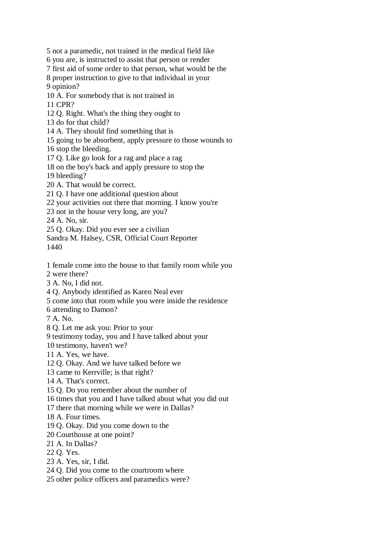5 not a paramedic, not trained in the medical field like 6 you are, is instructed to assist that person or render 7 first aid of some order to that person, what would be the 8 proper instruction to give to that individual in your 9 opinion? 10 A. For somebody that is not trained in 11 CPR? 12 Q. Right. What's the thing they ought to 13 do for that child? 14 A. They should find something that is 15 going to be absorbent, apply pressure to those wounds to 16 stop the bleeding. 17 Q. Like go look for a rag and place a rag 18 on the boy's back and apply pressure to stop the 19 bleeding? 20 A. That would be correct. 21 Q. I have one additional question about 22 your activities out there that morning. I know you're 23 not in the house very long, are you? 24 A. No, sir. 25 Q. Okay. Did you ever see a civilian Sandra M. Halsey, CSR, Official Court Reporter 1440 1 female come into the house to that family room while you 2 were there? 3 A. No, I did not. 4 Q. Anybody identified as Karen Neal ever 5 come into that room while you were inside the residence 6 attending to Damon? 7 A. No. 8 Q. Let me ask you: Prior to your 9 testimony today, you and I have talked about your 10 testimony, haven't we? 11 A. Yes, we have. 12 Q. Okay. And we have talked before we 13 came to Kerrville; is that right? 14 A. That's correct. 15 Q. Do you remember about the number of 16 times that you and I have talked about what you did out 17 there that morning while we were in Dallas? 18 A. Four times. 19 Q. Okay. Did you come down to the 20 Courthouse at one point?

21 A. In Dallas?

22 Q. Yes.

23 A. Yes, sir, I did.

24 Q. Did you come to the courtroom where

25 other police officers and paramedics were?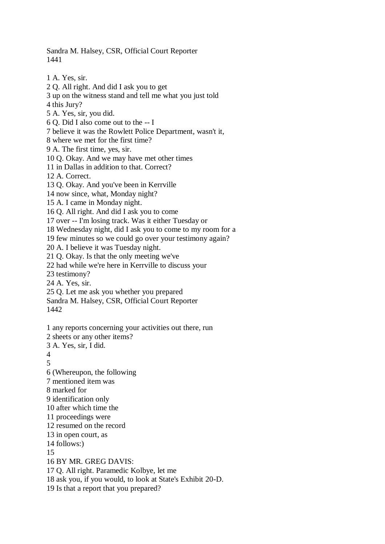Sandra M. Halsey, CSR, Official Court Reporter 1441

1 A. Yes, sir. 2 Q. All right. And did I ask you to get 3 up on the witness stand and tell me what you just told 4 this Jury? 5 A. Yes, sir, you did. 6 Q. Did I also come out to the -- I 7 believe it was the Rowlett Police Department, wasn't it, 8 where we met for the first time? 9 A. The first time, yes, sir. 10 Q. Okay. And we may have met other times 11 in Dallas in addition to that. Correct? 12 A. Correct. 13 Q. Okay. And you've been in Kerrville 14 now since, what, Monday night? 15 A. I came in Monday night. 16 Q. All right. And did I ask you to come 17 over -- I'm losing track. Was it either Tuesday or 18 Wednesday night, did I ask you to come to my room for a 19 few minutes so we could go over your testimony again? 20 A. I believe it was Tuesday night. 21 Q. Okay. Is that the only meeting we've 22 had while we're here in Kerrville to discuss your 23 testimony? 24 A. Yes, sir. 25 Q. Let me ask you whether you prepared Sandra M. Halsey, CSR, Official Court Reporter 1442 1 any reports concerning your activities out there, run 2 sheets or any other items? 3 A. Yes, sir, I did.  $\Delta$ 5 6 (Whereupon, the following 7 mentioned item was 8 marked for 9 identification only 10 after which time the 11 proceedings were 12 resumed on the record 13 in open court, as 14 follows:) 15 16 BY MR. GREG DAVIS: 17 Q. All right. Paramedic Kolbye, let me 18 ask you, if you would, to look at State's Exhibit 20-D. 19 Is that a report that you prepared?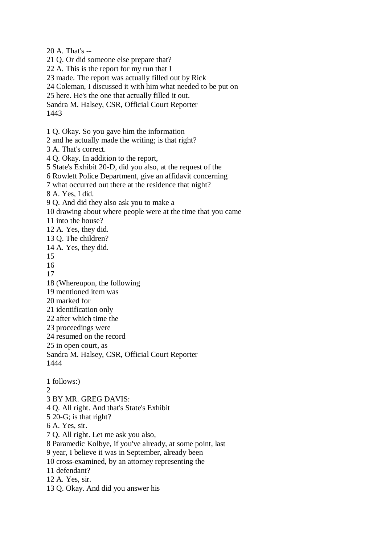20 A. That's -- 21 Q. Or did someone else prepare that? 22 A. This is the report for my run that I 23 made. The report was actually filled out by Rick 24 Coleman, I discussed it with him what needed to be put on 25 here. He's the one that actually filled it out. Sandra M. Halsey, CSR, Official Court Reporter 1443 1 Q. Okay. So you gave him the information 2 and he actually made the writing; is that right? 3 A. That's correct. 4 Q. Okay. In addition to the report, 5 State's Exhibit 20-D, did you also, at the request of the 6 Rowlett Police Department, give an affidavit concerning 7 what occurred out there at the residence that night? 8 A. Yes, I did. 9 Q. And did they also ask you to make a 10 drawing about where people were at the time that you came 11 into the house? 12 A. Yes, they did. 13 Q. The children? 14 A. Yes, they did. 15 16 17 18 (Whereupon, the following 19 mentioned item was 20 marked for 21 identification only 22 after which time the 23 proceedings were 24 resumed on the record 25 in open court, as Sandra M. Halsey, CSR, Official Court Reporter 1444 1 follows:)  $\mathcal{D}_{\mathcal{L}}$ 3 BY MR. GREG DAVIS: 4 Q. All right. And that's State's Exhibit 5 20-G; is that right? 6 A. Yes, sir. 7 Q. All right. Let me ask you also, 8 Paramedic Kolbye, if you've already, at some point, last 9 year, I believe it was in September, already been 10 cross-examined, by an attorney representing the 11 defendant? 12 A. Yes, sir. 13 Q. Okay. And did you answer his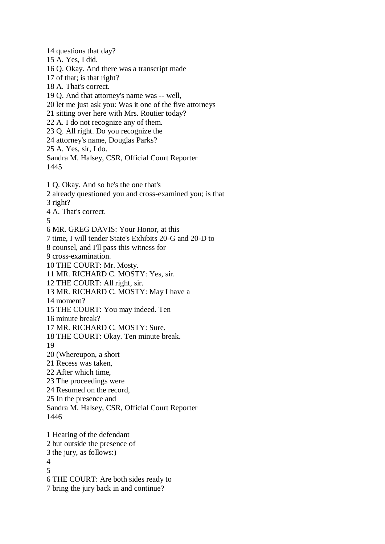14 questions that day? 15 A. Yes, I did. 16 Q. Okay. And there was a transcript made 17 of that; is that right? 18 A. That's correct. 19 Q. And that attorney's name was -- well, 20 let me just ask you: Was it one of the five attorneys 21 sitting over here with Mrs. Routier today? 22 A. I do not recognize any of them. 23 Q. All right. Do you recognize the 24 attorney's name, Douglas Parks? 25 A. Yes, sir, I do. Sandra M. Halsey, CSR, Official Court Reporter 1445 1 Q. Okay. And so he's the one that's 2 already questioned you and cross-examined you; is that 3 right? 4 A. That's correct. 5 6 MR. GREG DAVIS: Your Honor, at this 7 time, I will tender State's Exhibits 20-G and 20-D to 8 counsel, and I'll pass this witness for 9 cross-examination. 10 THE COURT: Mr. Mosty. 11 MR. RICHARD C. MOSTY: Yes, sir. 12 THE COURT: All right, sir. 13 MR. RICHARD C. MOSTY: May I have a 14 moment? 15 THE COURT: You may indeed. Ten 16 minute break? 17 MR. RICHARD C. MOSTY: Sure. 18 THE COURT: Okay. Ten minute break. 19 20 (Whereupon, a short 21 Recess was taken, 22 After which time, 23 The proceedings were 24 Resumed on the record, 25 In the presence and Sandra M. Halsey, CSR, Official Court Reporter 1446 1 Hearing of the defendant 2 but outside the presence of 3 the jury, as follows:) 4 5 6 THE COURT: Are both sides ready to 7 bring the jury back in and continue?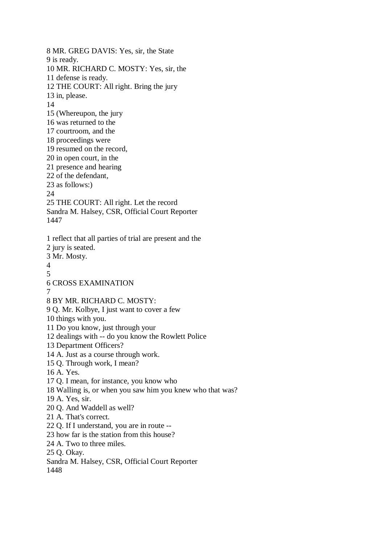8 MR. GREG DAVIS: Yes, sir, the State 9 is ready. 10 MR. RICHARD C. MOSTY: Yes, sir, the 11 defense is ready. 12 THE COURT: All right. Bring the jury 13 in, please. 14 15 (Whereupon, the jury 16 was returned to the 17 courtroom, and the 18 proceedings were 19 resumed on the record, 20 in open court, in the 21 presence and hearing 22 of the defendant, 23 as follows:) 24 25 THE COURT: All right. Let the record Sandra M. Halsey, CSR, Official Court Reporter 1447 1 reflect that all parties of trial are present and the 2 jury is seated. 3 Mr. Mosty. 4 5 6 CROSS EXAMINATION 7 8 BY MR. RICHARD C. MOSTY: 9 Q. Mr. Kolbye, I just want to cover a few 10 things with you. 11 Do you know, just through your 12 dealings with -- do you know the Rowlett Police 13 Department Officers? 14 A. Just as a course through work. 15 Q. Through work, I mean? 16 A. Yes. 17 Q. I mean, for instance, you know who 18 Walling is, or when you saw him you knew who that was? 19 A. Yes, sir. 20 Q. And Waddell as well? 21 A. That's correct. 22 Q. If I understand, you are in route -- 23 how far is the station from this house? 24 A. Two to three miles. 25 Q. Okay. Sandra M. Halsey, CSR, Official Court Reporter 1448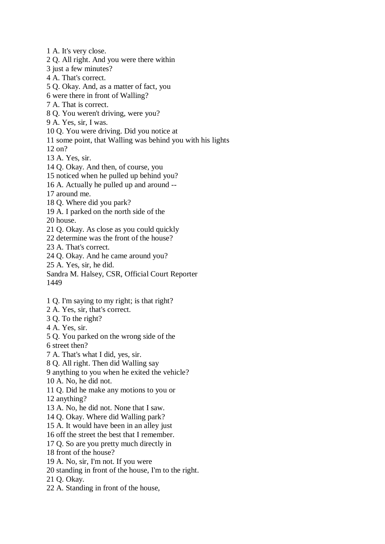1 A. It's very close. 2 Q. All right. And you were there within 3 just a few minutes? 4 A. That's correct. 5 Q. Okay. And, as a matter of fact, you 6 were there in front of Walling? 7 A. That is correct. 8 Q. You weren't driving, were you? 9 A. Yes, sir, I was. 10 Q. You were driving. Did you notice at 11 some point, that Walling was behind you with his lights 12 on? 13 A. Yes, sir. 14 Q. Okay. And then, of course, you 15 noticed when he pulled up behind you? 16 A. Actually he pulled up and around -- 17 around me. 18 Q. Where did you park? 19 A. I parked on the north side of the 20 house. 21 Q. Okay. As close as you could quickly 22 determine was the front of the house? 23 A. That's correct. 24 Q. Okay. And he came around you? 25 A. Yes, sir, he did. Sandra M. Halsey, CSR, Official Court Reporter 1449 1 Q. I'm saying to my right; is that right? 2 A. Yes, sir, that's correct. 3 Q. To the right? 4 A. Yes, sir. 5 Q. You parked on the wrong side of the 6 street then? 7 A. That's what I did, yes, sir. 8 Q. All right. Then did Walling say 9 anything to you when he exited the vehicle?

10 A. No, he did not.

11 Q. Did he make any motions to you or

12 anything?

13 A. No, he did not. None that I saw.

14 Q. Okay. Where did Walling park?

15 A. It would have been in an alley just

16 off the street the best that I remember.

17 Q. So are you pretty much directly in

18 front of the house?

19 A. No, sir, I'm not. If you were

20 standing in front of the house, I'm to the right.

21 Q. Okay.

22 A. Standing in front of the house,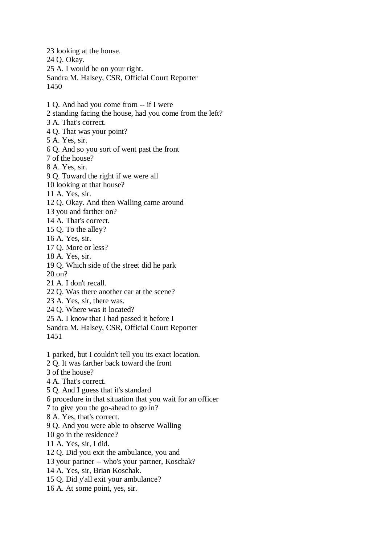23 looking at the house. 24 Q. Okay. 25 A. I would be on your right. Sandra M. Halsey, CSR, Official Court Reporter 1450 1 Q. And had you come from -- if I were 2 standing facing the house, had you come from the left? 3 A. That's correct. 4 Q. That was your point? 5 A. Yes, sir. 6 Q. And so you sort of went past the front 7 of the house? 8 A. Yes, sir. 9 Q. Toward the right if we were all 10 looking at that house? 11 A. Yes, sir. 12 Q. Okay. And then Walling came around 13 you and farther on? 14 A. That's correct. 15 Q. To the alley? 16 A. Yes, sir. 17 Q. More or less? 18 A. Yes, sir. 19 Q. Which side of the street did he park 20 on? 21 A. I don't recall. 22 Q. Was there another car at the scene? 23 A. Yes, sir, there was. 24 Q. Where was it located? 25 A. I know that I had passed it before I Sandra M. Halsey, CSR, Official Court Reporter 1451 1 parked, but I couldn't tell you its exact location. 2 Q. It was farther back toward the front 3 of the house? 4 A. That's correct. 5 Q. And I guess that it's standard 6 procedure in that situation that you wait for an officer 7 to give you the go-ahead to go in? 8 A. Yes, that's correct. 9 Q. And you were able to observe Walling 10 go in the residence? 11 A. Yes, sir, I did. 12 Q. Did you exit the ambulance, you and 13 your partner -- who's your partner, Koschak?

- 14 A. Yes, sir, Brian Koschak.
- 15 Q. Did y'all exit your ambulance?
- 16 A. At some point, yes, sir.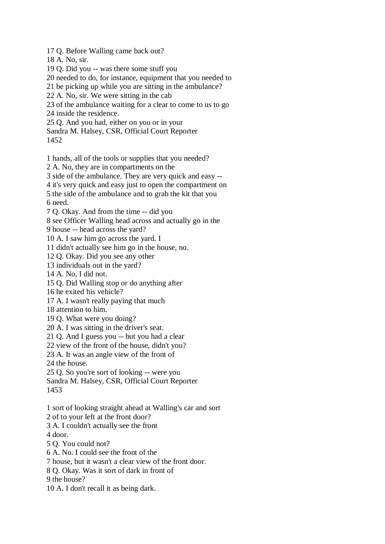17 Q. Before Walling came back out?

18 A. No, sir.

19 Q. Did you -- was there some stuff you

20 needed to do, for instance, equipment that you needed to

21 be picking up while you are sitting in the ambulance?

22 A. No, sir. We were sitting in the cab

23 of the ambulance waiting for a clear to come to us to go

24 inside the residence.

25 Q. And you had, either on you or in your

Sandra M. Halsey, CSR, Official Court Reporter

1452

1 hands, all of the tools or supplies that you needed?

2 A. No, they are in compartments on the

3 side of the ambulance. They are very quick and easy --

4 it's very quick and easy just to open the compartment on

5 the side of the ambulance and to grab the kit that you 6 need.

7 Q. Okay. And from the time -- did you

8 see Officer Walling head across and actually go in the

9 house -- head across the yard?

10 A. I saw him go across the yard. I

11 didn't actually see him go in the house, no.

12 Q. Okay. Did you see any other

13 individuals out in the yard?

14 A. No, I did not.

15 Q. Did Walling stop or do anything after

16 he exited his vehicle?

17 A. I wasn't really paying that much

18 attention to him.

19 Q. What were you doing?

20 A. I was sitting in the driver's seat.

21 Q. And I guess you -- but you had a clear

22 view of the front of the house, didn't you?

23 A. It was an angle view of the front of

24 the house.

25 Q. So you're sort of looking -- were you

Sandra M. Halsey, CSR, Official Court Reporter

1453

1 sort of looking straight ahead at Walling's car and sort

2 of to your left at the front door?

3 A. I couldn't actually see the front

4 door.

5 Q. You could not?

6 A. No. I could see the front of the

7 house, but it wasn't a clear view of the front door.

8 Q. Okay. Was it sort of dark in front of

9 the house?

10 A. I don't recall it as being dark.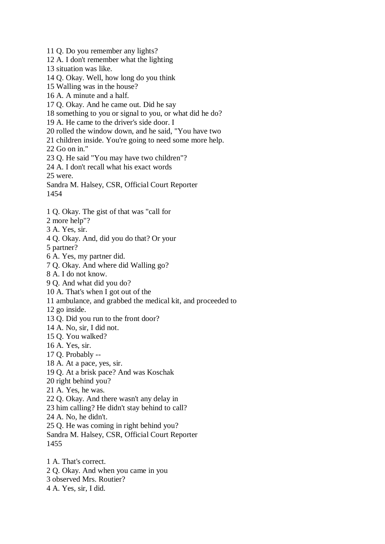11 Q. Do you remember any lights? 12 A. I don't remember what the lighting 13 situation was like. 14 Q. Okay. Well, how long do you think 15 Walling was in the house? 16 A. A minute and a half. 17 Q. Okay. And he came out. Did he say 18 something to you or signal to you, or what did he do? 19 A. He came to the driver's side door. I 20 rolled the window down, and he said, "You have two 21 children inside. You're going to need some more help. 22 Go on in." 23 Q. He said "You may have two children"? 24 A. I don't recall what his exact words 25 were. Sandra M. Halsey, CSR, Official Court Reporter 1454 1 Q. Okay. The gist of that was "call for 2 more help"? 3 A. Yes, sir. 4 Q. Okay. And, did you do that? Or your 5 partner? 6 A. Yes, my partner did. 7 Q. Okay. And where did Walling go? 8 A. I do not know. 9 Q. And what did you do? 10 A. That's when I got out of the 11 ambulance, and grabbed the medical kit, and proceeded to 12 go inside. 13 Q. Did you run to the front door? 14 A. No, sir, I did not. 15 Q. You walked? 16 A. Yes, sir. 17 Q. Probably -- 18 A. At a pace, yes, sir. 19 Q. At a brisk pace? And was Koschak 20 right behind you? 21 A. Yes, he was. 22 Q. Okay. And there wasn't any delay in 23 him calling? He didn't stay behind to call? 24 A. No, he didn't. 25 Q. He was coming in right behind you? Sandra M. Halsey, CSR, Official Court Reporter 1455 1 A. That's correct. 2 Q. Okay. And when you came in you 3 observed Mrs. Routier?

4 A. Yes, sir, I did.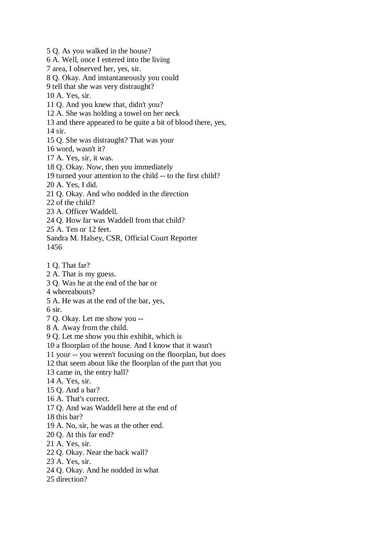5 Q. As you walked in the house? 6 A. Well, once I entered into the living 7 area, I observed her, yes, sir. 8 Q. Okay. And instantaneously you could 9 tell that she was very distraught? 10 A. Yes, sir. 11 Q. And you knew that, didn't you? 12 A. She was holding a towel on her neck 13 and there appeared to be quite a bit of blood there, yes, 14 sir. 15 Q. She was distraught? That was your 16 word, wasn't it? 17 A. Yes, sir, it was. 18 Q. Okay. Now, then you immediately 19 turned your attention to the child -- to the first child? 20 A. Yes, I did. 21 Q. Okay. And who nodded in the direction 22 of the child? 23 A. Officer Waddell. 24 Q. How far was Waddell from that child? 25 A. Ten or 12 feet. Sandra M. Halsey, CSR, Official Court Reporter 1456 1 Q. That far? 2 A. That is my guess. 3 Q. Was he at the end of the bar or 4 whereabouts? 5 A. He was at the end of the bar, yes, 6 sir. 7 Q. Okay. Let me show you -- 8 A. Away from the child. 9 Q. Let me show you this exhibit, which is 10 a floorplan of the house. And I know that it wasn't 11 your -- you weren't focusing on the floorplan, but does 12 that seem about like the floorplan of the part that you 13 came in, the entry hall? 14 A. Yes, sir. 15 Q. And a bar? 16 A. That's correct. 17 Q. And was Waddell here at the end of 18 this bar? 19 A. No, sir, he was at the other end. 20 Q. At this far end? 21 A. Yes, sir. 22 Q. Okay. Near the back wall? 23 A. Yes, sir. 24 Q. Okay. And he nodded in what 25 direction?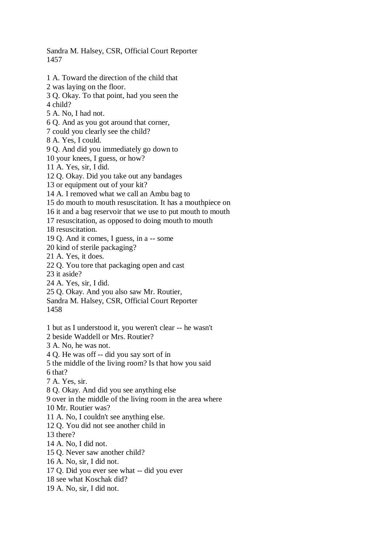Sandra M. Halsey, CSR, Official Court Reporter 1457 1 A. Toward the direction of the child that 2 was laying on the floor. 3 Q. Okay. To that point, had you seen the 4 child? 5 A. No, I had not. 6 Q. And as you got around that corner, 7 could you clearly see the child? 8 A. Yes, I could. 9 Q. And did you immediately go down to 10 your knees, I guess, or how? 11 A. Yes, sir, I did. 12 Q. Okay. Did you take out any bandages 13 or equipment out of your kit? 14 A. I removed what we call an Ambu bag to 15 do mouth to mouth resuscitation. It has a mouthpiece on 16 it and a bag reservoir that we use to put mouth to mouth 17 resuscitation, as opposed to doing mouth to mouth 18 resuscitation. 19 Q. And it comes, I guess, in a -- some 20 kind of sterile packaging? 21 A. Yes, it does. 22 Q. You tore that packaging open and cast 23 it aside? 24 A. Yes, sir, I did. 25 Q. Okay. And you also saw Mr. Routier, Sandra M. Halsey, CSR, Official Court Reporter 1458 1 but as I understood it, you weren't clear -- he wasn't 2 beside Waddell or Mrs. Routier? 3 A. No, he was not. 4 Q. He was off -- did you say sort of in 5 the middle of the living room? Is that how you said 6 that? 7 A. Yes, sir. 8 Q. Okay. And did you see anything else 9 over in the middle of the living room in the area where 10 Mr. Routier was? 11 A. No, I couldn't see anything else. 12 Q. You did not see another child in 13 there? 14 A. No, I did not. 15 Q. Never saw another child? 16 A. No, sir, I did not. 17 Q. Did you ever see what -- did you ever 18 see what Koschak did? 19 A. No, sir, I did not.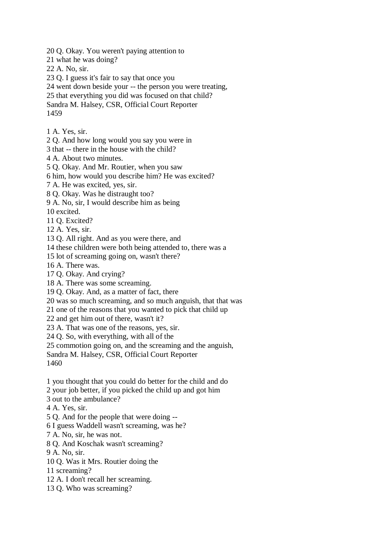20 Q. Okay. You weren't paying attention to

21 what he was doing?

22 A. No, sir.

- 23 Q. I guess it's fair to say that once you
- 24 went down beside your -- the person you were treating,
- 25 that everything you did was focused on that child?

Sandra M. Halsey, CSR, Official Court Reporter 1459

1 A. Yes, sir.

2 Q. And how long would you say you were in

3 that -- there in the house with the child?

4 A. About two minutes.

5 Q. Okay. And Mr. Routier, when you saw

6 him, how would you describe him? He was excited?

7 A. He was excited, yes, sir.

8 Q. Okay. Was he distraught too?

9 A. No, sir, I would describe him as being

10 excited.

11 Q. Excited?

12 A. Yes, sir.

13 Q. All right. And as you were there, and

14 these children were both being attended to, there was a

15 lot of screaming going on, wasn't there?

16 A. There was.

17 Q. Okay. And crying?

18 A. There was some screaming.

19 Q. Okay. And, as a matter of fact, there

20 was so much screaming, and so much anguish, that that was

21 one of the reasons that you wanted to pick that child up

22 and get him out of there, wasn't it?

23 A. That was one of the reasons, yes, sir.

24 Q. So, with everything, with all of the

25 commotion going on, and the screaming and the anguish,

Sandra M. Halsey, CSR, Official Court Reporter

1460

1 you thought that you could do better for the child and do

2 your job better, if you picked the child up and got him

3 out to the ambulance?

4 A. Yes, sir.

5 Q. And for the people that were doing --

6 I guess Waddell wasn't screaming, was he?

7 A. No, sir, he was not.

8 Q. And Koschak wasn't screaming?

9 A. No, sir.

10 Q. Was it Mrs. Routier doing the

11 screaming?

- 12 A. I don't recall her screaming.
- 13 Q. Who was screaming?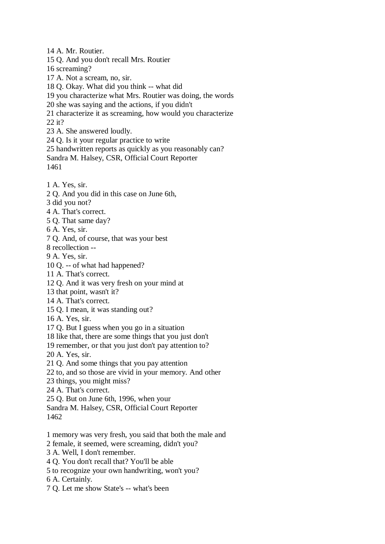14 A. Mr. Routier. 15 Q. And you don't recall Mrs. Routier 16 screaming? 17 A. Not a scream, no, sir. 18 Q. Okay. What did you think -- what did 19 you characterize what Mrs. Routier was doing, the words 20 she was saying and the actions, if you didn't 21 characterize it as screaming, how would you characterize 22 it? 23 A. She answered loudly. 24 Q. Is it your regular practice to write 25 handwritten reports as quickly as you reasonably can? Sandra M. Halsey, CSR, Official Court Reporter

1461

- 1 A. Yes, sir.
- 2 Q. And you did in this case on June 6th,
- 3 did you not?
- 4 A. That's correct.
- 5 Q. That same day?
- 6 A. Yes, sir.
- 7 Q. And, of course, that was your best
- 8 recollection --
- 9 A. Yes, sir.
- 10 Q. -- of what had happened?
- 11 A. That's correct.
- 12 Q. And it was very fresh on your mind at
- 13 that point, wasn't it?
- 14 A. That's correct.
- 15 Q. I mean, it was standing out?
- 16 A. Yes, sir.
- 17 Q. But I guess when you go in a situation
- 18 like that, there are some things that you just don't
- 19 remember, or that you just don't pay attention to?
- 20 A. Yes, sir.
- 21 Q. And some things that you pay attention
- 22 to, and so those are vivid in your memory. And other
- 23 things, you might miss?
- 24 A. That's correct.
- 25 Q. But on June 6th, 1996, when your
- Sandra M. Halsey, CSR, Official Court Reporter
- 1462
- 1 memory was very fresh, you said that both the male and
- 2 female, it seemed, were screaming, didn't you?
- 3 A. Well, I don't remember.
- 4 Q. You don't recall that? You'll be able
- 5 to recognize your own handwriting, won't you?
- 6 A. Certainly.
- 7 Q. Let me show State's -- what's been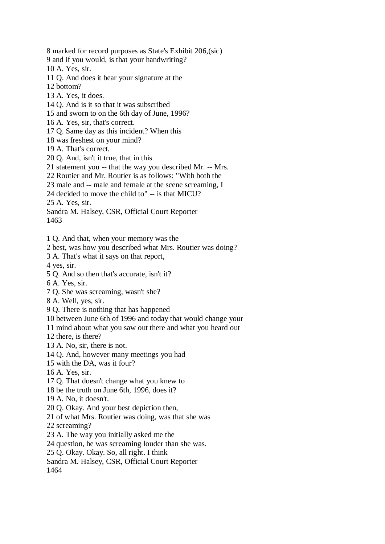8 marked for record purposes as State's Exhibit 206,(sic)

9 and if you would, is that your handwriting?

10 A. Yes, sir.

11 Q. And does it bear your signature at the

12 bottom?

- 13 A. Yes, it does.
- 14 Q. And is it so that it was subscribed
- 15 and sworn to on the 6th day of June, 1996?
- 16 A. Yes, sir, that's correct.

17 Q. Same day as this incident? When this

- 18 was freshest on your mind?
- 19 A. That's correct.
- 20 Q. And, isn't it true, that in this
- 21 statement you -- that the way you described Mr. -- Mrs.
- 22 Routier and Mr. Routier is as follows: "With both the
- 23 male and -- male and female at the scene screaming, I
- 24 decided to move the child to" -- is that MICU?

25 A. Yes, sir.

Sandra M. Halsey, CSR, Official Court Reporter 1463

1 Q. And that, when your memory was the

2 best, was how you described what Mrs. Routier was doing?

3 A. That's what it says on that report,

4 yes, sir.

- 5 Q. And so then that's accurate, isn't it?
- 6 A. Yes, sir.
- 7 Q. She was screaming, wasn't she?
- 8 A. Well, yes, sir.
- 9 Q. There is nothing that has happened
- 10 between June 6th of 1996 and today that would change your
- 11 mind about what you saw out there and what you heard out

12 there, is there?

13 A. No, sir, there is not.

- 14 Q. And, however many meetings you had
- 15 with the DA, was it four?
- 16 A. Yes, sir.
- 17 Q. That doesn't change what you knew to
- 18 be the truth on June 6th, 1996, does it?
- 19 A. No, it doesn't.
- 20 Q. Okay. And your best depiction then,
- 21 of what Mrs. Routier was doing, was that she was
- 22 screaming?
- 23 A. The way you initially asked me the

24 question, he was screaming louder than she was.

25 Q. Okay. Okay. So, all right. I think

Sandra M. Halsey, CSR, Official Court Reporter

1464